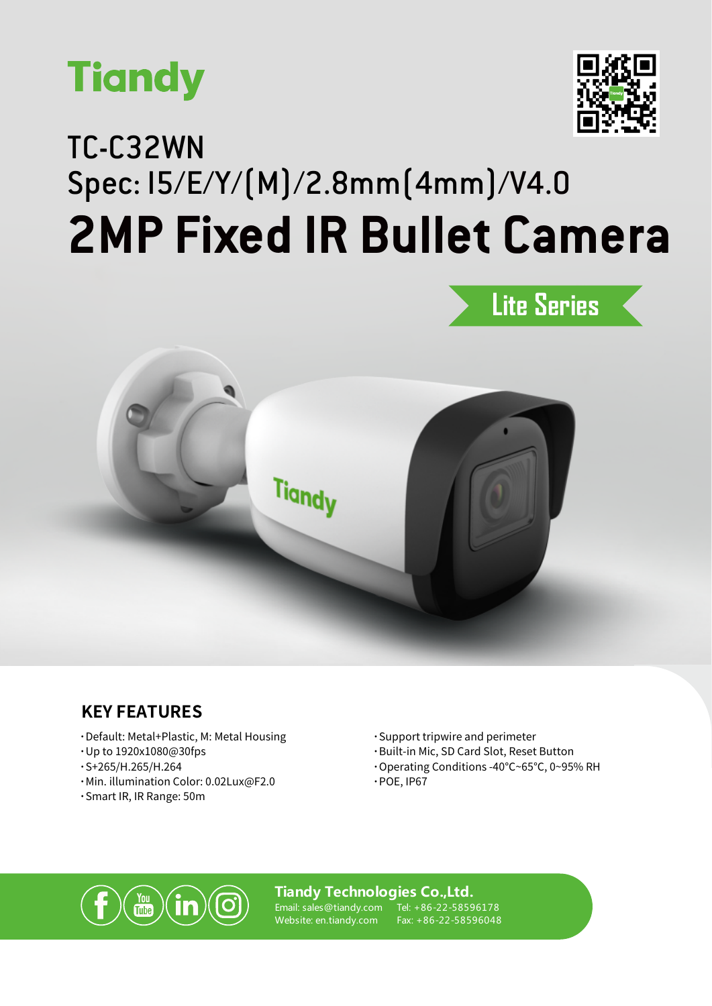



## TC-C32WN Spec: I5/E/Y/(M)/2.8mm(4mm)/V4.0 **2MP Fixed IR Bullet Camera**





## **KEY FEATURES**

- **·**Default: Metal+Plastic, M: Metal Housing
- **·**Up to 1920x1080@30fps
- **·**S+265/H.265/H.264
- **·**Min. illumination Color: 0.02Lux@F2.0
- **·**Smart IR, IR Range: 50m
- **·**Support tripwire and perimeter
- **·**Built-in Mic, SD Card Slot, Reset Button
- **·**Operating Conditions -40℃~65℃, 0~95% RH
- **·**POE, IP67



#### **Tiandy Technologies Co.,Ltd.**

Email: sales@tiandy.com Website: en.tiandy.com

Tel: +86-22-58596178 Fax: +86-22-58596048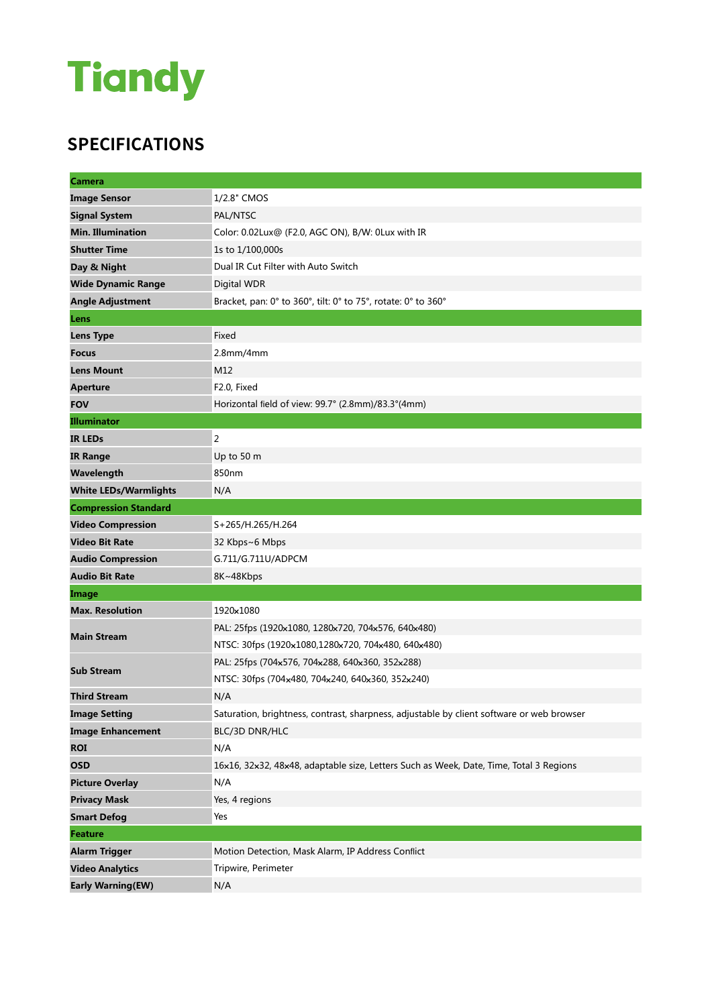## **Tiandy**

## **SPECIFICATIONS**

| <b>Camera</b>                |                                                                                           |
|------------------------------|-------------------------------------------------------------------------------------------|
| <b>Image Sensor</b>          | 1/2.8" CMOS                                                                               |
| <b>Signal System</b>         | PAL/NTSC                                                                                  |
| <b>Min. Illumination</b>     | Color: 0.02Lux@ (F2.0, AGC ON), B/W: 0Lux with IR                                         |
| <b>Shutter Time</b>          | 1s to 1/100,000s                                                                          |
| Day & Night                  | Dual IR Cut Filter with Auto Switch                                                       |
| <b>Wide Dynamic Range</b>    | Digital WDR                                                                               |
| <b>Angle Adjustment</b>      | Bracket, pan: 0° to 360°, tilt: 0° to 75°, rotate: 0° to 360°                             |
| Lens                         |                                                                                           |
| <b>Lens Type</b>             | Fixed                                                                                     |
| <b>Focus</b>                 | $2.8$ mm/4mm                                                                              |
| <b>Lens Mount</b>            | M12                                                                                       |
| <b>Aperture</b>              | F2.0, Fixed                                                                               |
| <b>FOV</b>                   | Horizontal field of view: 99.7° (2.8mm)/83.3°(4mm)                                        |
| <b>Illuminator</b>           |                                                                                           |
| <b>IR LEDS</b>               | 2                                                                                         |
| <b>IR Range</b>              | Up to 50 m                                                                                |
| Wavelength                   | 850nm                                                                                     |
| <b>White LEDs/Warmlights</b> | N/A                                                                                       |
| <b>Compression Standard</b>  |                                                                                           |
| <b>Video Compression</b>     | S+265/H.265/H.264                                                                         |
| <b>Video Bit Rate</b>        | 32 Kbps~6 Mbps                                                                            |
| <b>Audio Compression</b>     | G.711/G.711U/ADPCM                                                                        |
| <b>Audio Bit Rate</b>        | 8K~48Kbps                                                                                 |
| Image                        |                                                                                           |
| <b>Max. Resolution</b>       | 1920×1080                                                                                 |
| <b>Main Stream</b>           | PAL: 25fps (1920×1080, 1280×720, 704×576, 640×480)                                        |
|                              | NTSC: 30fps (1920x1080,1280x720, 704x480, 640x480)                                        |
| <b>Sub Stream</b>            | PAL: 25fps (704x576, 704x288, 640x360, 352x288)                                           |
|                              | NTSC: 30fps (704x480, 704x240, 640x360, 352x240)                                          |
| <b>Third Stream</b>          | N/A                                                                                       |
| <b>Image Setting</b>         | Saturation, brightness, contrast, sharpness, adjustable by client software or web browser |
| <b>Image Enhancement</b>     | BLC/3D DNR/HLC                                                                            |
| <b>ROI</b>                   | N/A                                                                                       |
| <b>OSD</b>                   | 16x16, 32x32, 48x48, adaptable size, Letters Such as Week, Date, Time, Total 3 Regions    |
| <b>Picture Overlay</b>       | N/A                                                                                       |
| <b>Privacy Mask</b>          | Yes, 4 regions                                                                            |
| <b>Smart Defog</b>           | Yes                                                                                       |
| <b>Feature</b>               |                                                                                           |
| <b>Alarm Trigger</b>         | Motion Detection, Mask Alarm, IP Address Conflict                                         |
| <b>Video Analytics</b>       | Tripwire, Perimeter                                                                       |
| <b>Early Warning(EW)</b>     | N/A                                                                                       |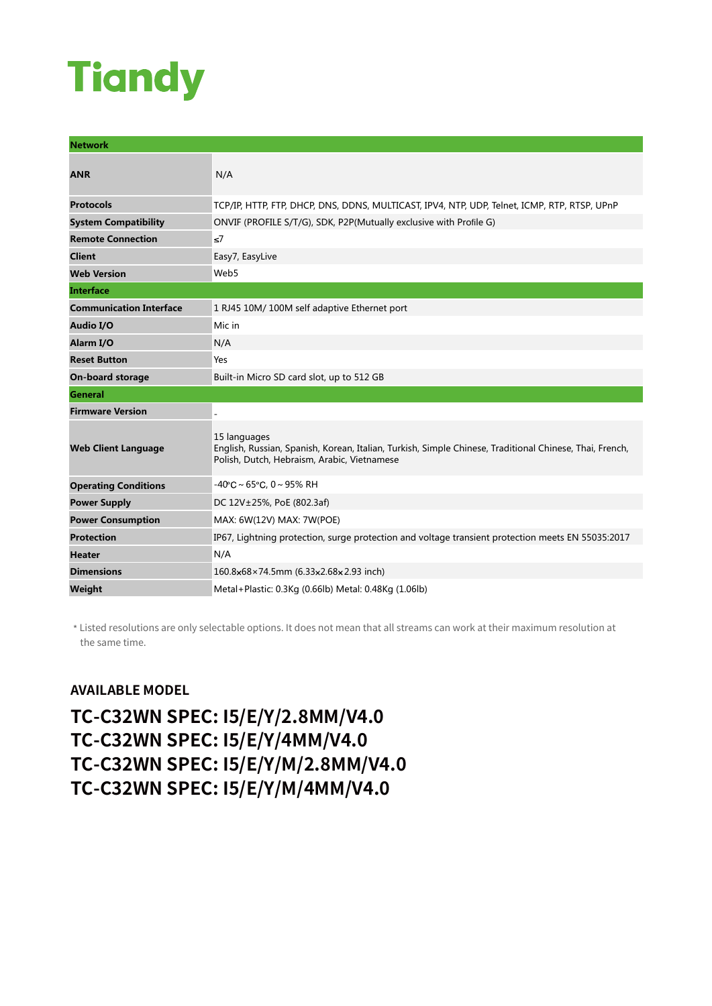# **Tiandy**

| <b>Network</b>                 |                                                                                                                                                                        |
|--------------------------------|------------------------------------------------------------------------------------------------------------------------------------------------------------------------|
| <b>ANR</b>                     | N/A                                                                                                                                                                    |
| <b>Protocols</b>               | TCP/IP, HTTP, FTP, DHCP, DNS, DDNS, MULTICAST, IPV4, NTP, UDP, Telnet, ICMP, RTP, RTSP, UPnP                                                                           |
| <b>System Compatibility</b>    | ONVIF (PROFILE S/T/G), SDK, P2P(Mutually exclusive with Profile G)                                                                                                     |
| <b>Remote Connection</b>       | $\leq$ 7                                                                                                                                                               |
| <b>Client</b>                  | Easy7, EasyLive                                                                                                                                                        |
| <b>Web Version</b>             | Web5                                                                                                                                                                   |
| <b>Interface</b>               |                                                                                                                                                                        |
| <b>Communication Interface</b> | 1 RJ45 10M/ 100M self adaptive Ethernet port                                                                                                                           |
| Audio I/O                      | Mic in                                                                                                                                                                 |
| Alarm I/O                      | N/A                                                                                                                                                                    |
| <b>Reset Button</b>            | Yes                                                                                                                                                                    |
| <b>On-board storage</b>        | Built-in Micro SD card slot, up to 512 GB                                                                                                                              |
| <b>General</b>                 |                                                                                                                                                                        |
| <b>Firmware Version</b>        |                                                                                                                                                                        |
| <b>Web Client Language</b>     | 15 languages<br>English, Russian, Spanish, Korean, Italian, Turkish, Simple Chinese, Traditional Chinese, Thai, French,<br>Polish, Dutch, Hebraism, Arabic, Vietnamese |
| <b>Operating Conditions</b>    | $-40^{\circ}$ C ~ 65 $^{\circ}$ C, 0 ~ 95% RH                                                                                                                          |
| <b>Power Supply</b>            | DC 12V±25%, PoE (802.3af)                                                                                                                                              |
| <b>Power Consumption</b>       | MAX: 6W(12V) MAX: 7W(POE)                                                                                                                                              |
| <b>Protection</b>              | IP67, Lightning protection, surge protection and voltage transient protection meets EN 55035:2017                                                                      |
| <b>Heater</b>                  | N/A                                                                                                                                                                    |
| <b>Dimensions</b>              | 160.8×68×74.5mm (6.33×2.68×2.93 inch)                                                                                                                                  |
| Weight                         | Metal+Plastic: 0.3Kg (0.66lb) Metal: 0.48Kg (1.06lb)                                                                                                                   |

\* Listed resolutions are only selectable options. It does not mean that all streams can work at their maximum resolution at the same time.

### **AVAILABLE MODEL**

**TC-C32WN SPEC: I5/E/Y/2.8MM/V4.0 TC-C32WN SPEC: I5/E/Y/4MM/V4.0 TC-C32WN SPEC: I5/E/Y/M/2.8MM/V4.0 TC-C32WN SPEC: I5/E/Y/M/4MM/V4.0**